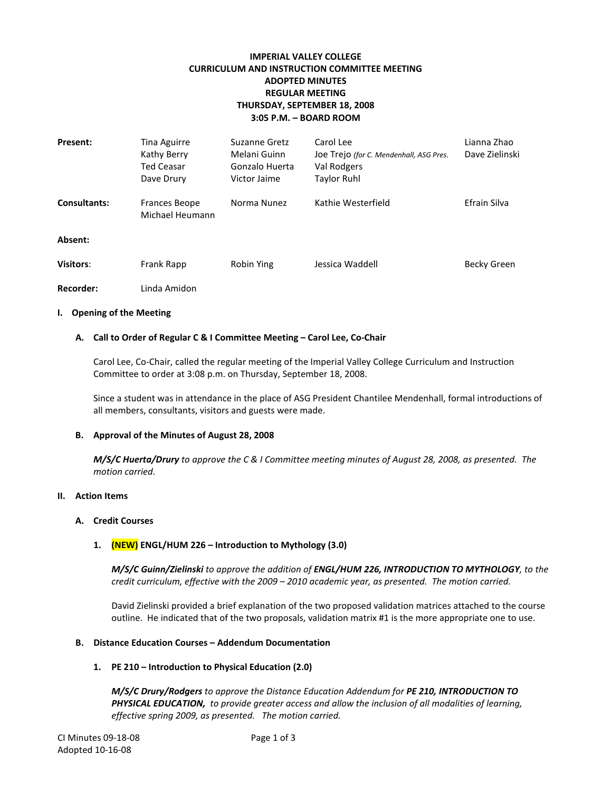# **IMPERIAL VALLEY COLLEGE CURRICULUM AND INSTRUCTION COMMITTEE MEETING ADOPTED MINUTES REGULAR MEETING THURSDAY, SEPTEMBER 18, 2008 3:05 P.M. – BOARD ROOM**

| <b>Present:</b>     | Tina Aguirre<br>Kathy Berry<br><b>Ted Ceasar</b><br>Dave Drury | Suzanne Gretz<br>Melani Guinn<br>Gonzalo Huerta<br>Victor Jaime | Carol Lee<br>Joe Trejo (for C. Mendenhall, ASG Pres.<br>Val Rodgers<br><b>Taylor Ruhl</b> | Lianna Zhao<br>Dave Zielinski |
|---------------------|----------------------------------------------------------------|-----------------------------------------------------------------|-------------------------------------------------------------------------------------------|-------------------------------|
| <b>Consultants:</b> | <b>Frances Beope</b><br>Michael Heumann                        | Norma Nunez                                                     | Kathie Westerfield                                                                        | Efrain Silva                  |
| Absent:             |                                                                |                                                                 |                                                                                           |                               |
| <b>Visitors:</b>    | <b>Frank Rapp</b>                                              | <b>Robin Ying</b>                                               | Jessica Waddell                                                                           | Becky Green                   |
| Recorder:           | Linda Amidon                                                   |                                                                 |                                                                                           |                               |

#### **I. Opening of the Meeting**

#### **A. Call to Order of Regular C & I Committee Meeting – Carol Lee, Co-Chair**

Carol Lee, Co-Chair, called the regular meeting of the Imperial Valley College Curriculum and Instruction Committee to order at 3:08 p.m. on Thursday, September 18, 2008.

Since a student was in attendance in the place of ASG President Chantilee Mendenhall, formal introductions of all members, consultants, visitors and guests were made.

#### **B. Approval of the Minutes of August 28, 2008**

*M/S/C Huerta/Drury to approve the C & I Committee meeting minutes of August 28, 2008, as presented. The motion carried.*

#### **II. Action Items**

#### **A. Credit Courses**

## **1. (NEW) ENGL/HUM 226 – Introduction to Mythology (3.0)**

*M/S/C Guinn/Zielinski to approve the addition of ENGL/HUM 226, INTRODUCTION TO MYTHOLOGY, to the credit curriculum, effective with the 2009 – 2010 academic year, as presented. The motion carried.*

David Zielinski provided a brief explanation of the two proposed validation matrices attached to the course outline. He indicated that of the two proposals, validation matrix #1 is the more appropriate one to use.

#### **B. Distance Education Courses – Addendum Documentation**

#### **1. PE 210 – Introduction to Physical Education (2.0)**

*M/S/C Drury/Rodgers to approve the Distance Education Addendum for PE 210, INTRODUCTION TO PHYSICAL EDUCATION, to provide greater access and allow the inclusion of all modalities of learning, effective spring 2009, as presented. The motion carried.*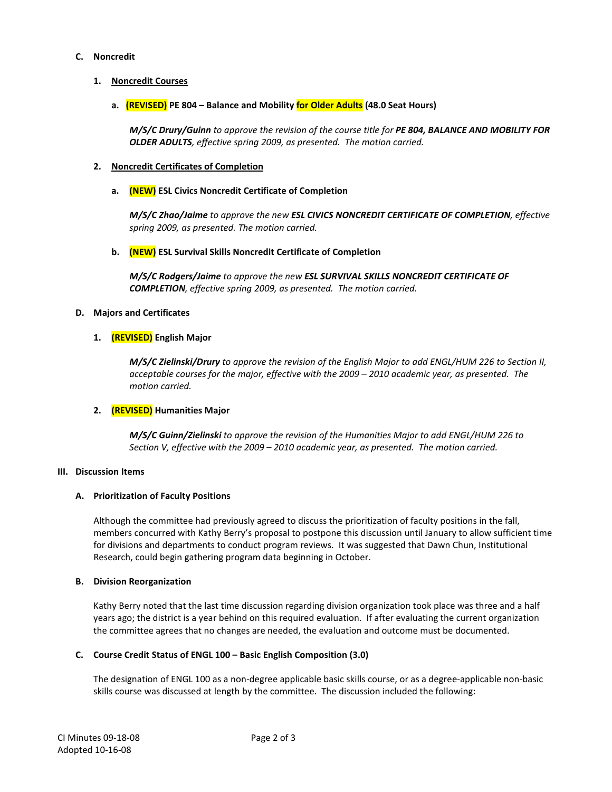## **C. Noncredit**

## **1. Noncredit Courses**

**a. (REVISED) PE 804 – Balance and Mobility for Older Adults (48.0 Seat Hours)**

*M/S/C Drury/Guinn to approve the revision of the course title for PE 804, BALANCE AND MOBILITY FOR OLDER ADULTS, effective spring 2009, as presented. The motion carried.*

## **2. Noncredit Certificates of Completion**

## **a. (NEW) ESL Civics Noncredit Certificate of Completion**

*M/S/C Zhao/Jaime to approve the new ESL CIVICS NONCREDIT CERTIFICATE OF COMPLETION, effective spring 2009, as presented. The motion carried.*

## **b. (NEW) ESL Survival Skills Noncredit Certificate of Completion**

*M/S/C Rodgers/Jaime to approve the new ESL SURVIVAL SKILLS NONCREDIT CERTIFICATE OF COMPLETION, effective spring 2009, as presented. The motion carried.*

## **D. Majors and Certificates**

## **1. (REVISED) English Major**

*M/S/C Zielinski/Drury to approve the revision of the English Major to add ENGL/HUM 226 to Section II, acceptable courses for the major, effective with the 2009 – 2010 academic year, as presented. The motion carried.*

## **2. (REVISED) Humanities Major**

*M/S/C Guinn/Zielinski to approve the revision of the Humanities Major to add ENGL/HUM 226 to Section V, effective with the 2009 – 2010 academic year, as presented. The motion carried.*

## **III. Discussion Items**

## **A. Prioritization of Faculty Positions**

Although the committee had previously agreed to discuss the prioritization of faculty positions in the fall, members concurred with Kathy Berry's proposal to postpone this discussion until January to allow sufficient time for divisions and departments to conduct program reviews. It was suggested that Dawn Chun, Institutional Research, could begin gathering program data beginning in October.

## **B. Division Reorganization**

Kathy Berry noted that the last time discussion regarding division organization took place was three and a half years ago; the district is a year behind on this required evaluation. If after evaluating the current organization the committee agrees that no changes are needed, the evaluation and outcome must be documented.

# **C. Course Credit Status of ENGL 100 – Basic English Composition (3.0)**

The designation of ENGL 100 as a non-degree applicable basic skills course, or as a degree-applicable non-basic skills course was discussed at length by the committee. The discussion included the following: